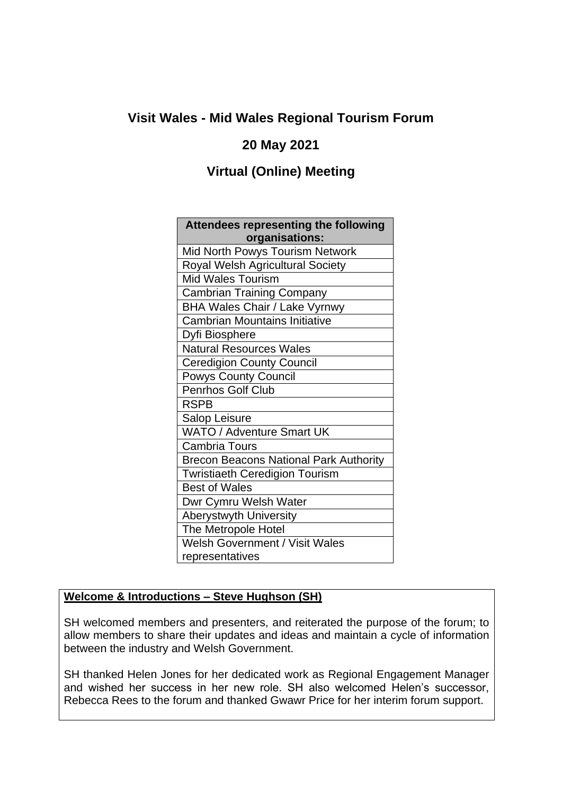# **Visit Wales - Mid Wales Regional Tourism Forum**

## **20 May 2021**

## **Virtual (Online) Meeting**

| <b>Attendees representing the following</b>   |
|-----------------------------------------------|
| organisations:                                |
| Mid North Powys Tourism Network               |
| Royal Welsh Agricultural Society              |
| <b>Mid Wales Tourism</b>                      |
| <b>Cambrian Training Company</b>              |
| <b>BHA Wales Chair / Lake Vyrnwy</b>          |
| <b>Cambrian Mountains Initiative</b>          |
| Dyfi Biosphere                                |
| <b>Natural Resources Wales</b>                |
| <b>Ceredigion County Council</b>              |
| <b>Powys County Council</b>                   |
| Penrhos Golf Club                             |
| <b>RSPB</b>                                   |
| Salop Leisure                                 |
| WATO / Adventure Smart UK                     |
| Cambria Tours                                 |
| <b>Brecon Beacons National Park Authority</b> |
| <b>Twristiaeth Ceredigion Tourism</b>         |
| <b>Best of Wales</b>                          |
| Dwr Cymru Welsh Water                         |
| <b>Aberystwyth University</b>                 |
| The Metropole Hotel                           |
| <b>Welsh Government / Visit Wales</b>         |
| representatives                               |

#### **Welcome & Introductions – Steve Hughson (SH)**

SH welcomed members and presenters, and reiterated the purpose of the forum; to allow members to share their updates and ideas and maintain a cycle of information between the industry and Welsh Government.

SH thanked Helen Jones for her dedicated work as Regional Engagement Manager and wished her success in her new role. SH also welcomed Helen's successor, Rebecca Rees to the forum and thanked Gwawr Price for her interim forum support.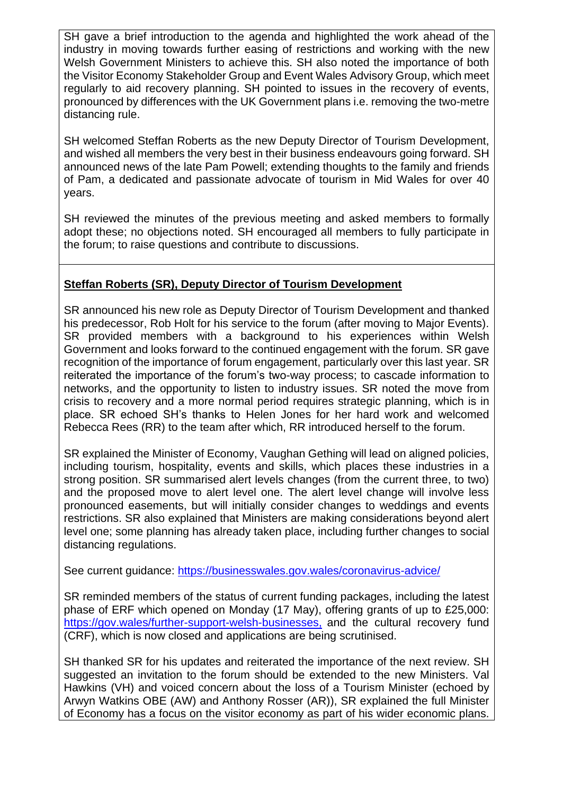SH gave a brief introduction to the agenda and highlighted the work ahead of the industry in moving towards further easing of restrictions and working with the new Welsh Government Ministers to achieve this. SH also noted the importance of both the Visitor Economy Stakeholder Group and Event Wales Advisory Group, which meet regularly to aid recovery planning. SH pointed to issues in the recovery of events, pronounced by differences with the UK Government plans i.e. removing the two-metre distancing rule.

SH welcomed Steffan Roberts as the new Deputy Director of Tourism Development, and wished all members the very best in their business endeavours going forward. SH announced news of the late Pam Powell; extending thoughts to the family and friends of Pam, a dedicated and passionate advocate of tourism in Mid Wales for over 40 years.

SH reviewed the minutes of the previous meeting and asked members to formally adopt these; no objections noted. SH encouraged all members to fully participate in the forum; to raise questions and contribute to discussions.

#### **Steffan Roberts (SR), Deputy Director of Tourism Development**

SR announced his new role as Deputy Director of Tourism Development and thanked his predecessor, Rob Holt for his service to the forum (after moving to Major Events). SR provided members with a background to his experiences within Welsh Government and looks forward to the continued engagement with the forum. SR gave recognition of the importance of forum engagement, particularly over this last year. SR reiterated the importance of the forum's two-way process; to cascade information to networks, and the opportunity to listen to industry issues. SR noted the move from crisis to recovery and a more normal period requires strategic planning, which is in place. SR echoed SH's thanks to Helen Jones for her hard work and welcomed Rebecca Rees (RR) to the team after which, RR introduced herself to the forum.

SR explained the Minister of Economy, Vaughan Gething will lead on aligned policies, including tourism, hospitality, events and skills, which places these industries in a strong position. SR summarised alert levels changes (from the current three, to two) and the proposed move to alert level one. The alert level change will involve less pronounced easements, but will initially consider changes to weddings and events restrictions. SR also explained that Ministers are making considerations beyond alert level one; some planning has already taken place, including further changes to social distancing regulations.

See current guidance:<https://businesswales.gov.wales/coronavirus-advice/>

SR reminded members of the status of current funding packages, including the latest phase of ERF which opened on Monday (17 May), offering grants of up to £25,000: [https://gov.wales/further-support-welsh-businesses,](https://gov.wales/further-support-welsh-businesses) and the cultural recovery fund (CRF), which is now closed and applications are being scrutinised.

SH thanked SR for his updates and reiterated the importance of the next review. SH suggested an invitation to the forum should be extended to the new Ministers. Val Hawkins (VH) and voiced concern about the loss of a Tourism Minister (echoed by Arwyn Watkins OBE (AW) and Anthony Rosser (AR)), SR explained the full Minister of Economy has a focus on the visitor economy as part of his wider economic plans.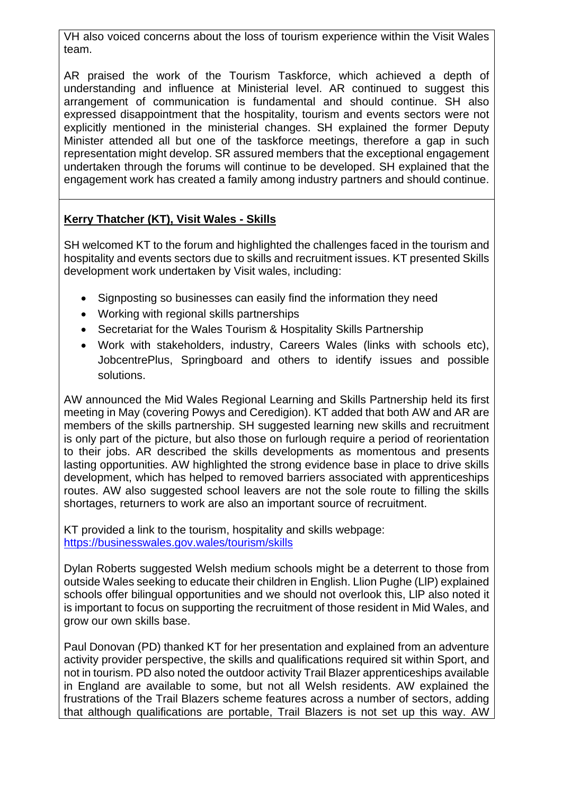VH also voiced concerns about the loss of tourism experience within the Visit Wales team.

AR praised the work of the Tourism Taskforce, which achieved a depth of understanding and influence at Ministerial level. AR continued to suggest this arrangement of communication is fundamental and should continue. SH also expressed disappointment that the hospitality, tourism and events sectors were not explicitly mentioned in the ministerial changes. SH explained the former Deputy Minister attended all but one of the taskforce meetings, therefore a gap in such representation might develop. SR assured members that the exceptional engagement undertaken through the forums will continue to be developed. SH explained that the engagement work has created a family among industry partners and should continue.

## **Kerry Thatcher (KT), Visit Wales - Skills**

SH welcomed KT to the forum and highlighted the challenges faced in the tourism and hospitality and events sectors due to skills and recruitment issues. KT presented Skills development work undertaken by Visit wales, including:

- Signposting so businesses can easily find the information they need
- Working with regional skills partnerships
- Secretariat for the Wales Tourism & Hospitality Skills Partnership
- Work with stakeholders, industry, Careers Wales (links with schools etc), JobcentrePlus, Springboard and others to identify issues and possible solutions.

AW announced the Mid Wales Regional Learning and Skills Partnership held its first meeting in May (covering Powys and Ceredigion). KT added that both AW and AR are members of the skills partnership. SH suggested learning new skills and recruitment is only part of the picture, but also those on furlough require a period of reorientation to their jobs. AR described the skills developments as momentous and presents lasting opportunities. AW highlighted the strong evidence base in place to drive skills development, which has helped to removed barriers associated with apprenticeships routes. AW also suggested school leavers are not the sole route to filling the skills shortages, returners to work are also an important source of recruitment.

KT provided a link to the tourism, hospitality and skills webpage: <https://businesswales.gov.wales/tourism/skills>

Dylan Roberts suggested Welsh medium schools might be a deterrent to those from outside Wales seeking to educate their children in English. Llion Pughe (LlP) explained schools offer bilingual opportunities and we should not overlook this, LlP also noted it is important to focus on supporting the recruitment of those resident in Mid Wales, and grow our own skills base.

Paul Donovan (PD) thanked KT for her presentation and explained from an adventure activity provider perspective, the skills and qualifications required sit within Sport, and not in tourism. PD also noted the outdoor activity Trail Blazer apprenticeships available in England are available to some, but not all Welsh residents. AW explained the frustrations of the Trail Blazers scheme features across a number of sectors, adding that although qualifications are portable, Trail Blazers is not set up this way. AW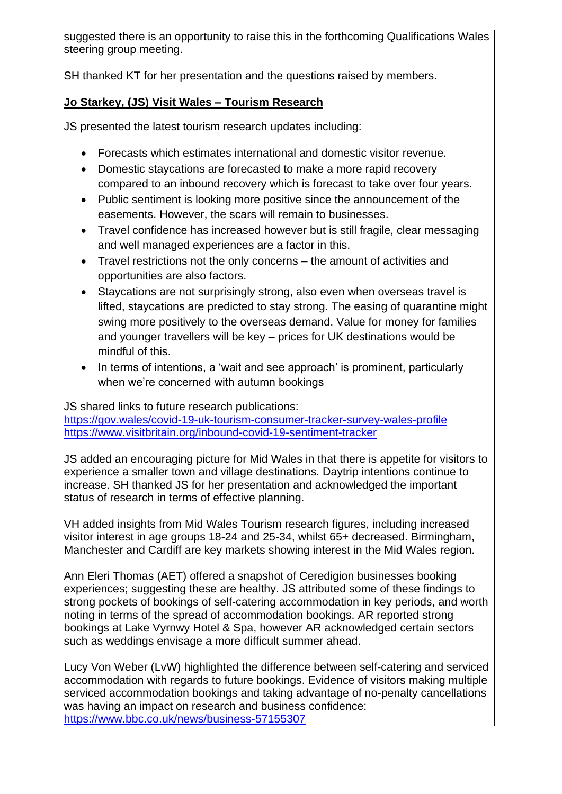suggested there is an opportunity to raise this in the forthcoming Qualifications Wales steering group meeting.

SH thanked KT for her presentation and the questions raised by members.

### **Jo Starkey, (JS) Visit Wales – Tourism Research**

JS presented the latest tourism research updates including:

- Forecasts which estimates international and domestic visitor revenue.
- Domestic staycations are forecasted to make a more rapid recovery compared to an inbound recovery which is forecast to take over four years.
- Public sentiment is looking more positive since the announcement of the easements. However, the scars will remain to businesses.
- Travel confidence has increased however but is still fragile, clear messaging and well managed experiences are a factor in this.
- Travel restrictions not the only concerns the amount of activities and opportunities are also factors.
- Staycations are not surprisingly strong, also even when overseas travel is lifted, staycations are predicted to stay strong. The easing of quarantine might swing more positively to the overseas demand. Value for money for families and younger travellers will be key – prices for UK destinations would be mindful of this.
- In terms of intentions, a 'wait and see approach' is prominent, particularly when we're concerned with autumn bookings

JS shared links to future research publications:

<https://gov.wales/covid-19-uk-tourism-consumer-tracker-survey-wales-profile> <https://www.visitbritain.org/inbound-covid-19-sentiment-tracker>

JS added an encouraging picture for Mid Wales in that there is appetite for visitors to experience a smaller town and village destinations. Daytrip intentions continue to increase. SH thanked JS for her presentation and acknowledged the important status of research in terms of effective planning.

VH added insights from Mid Wales Tourism research figures, including increased visitor interest in age groups 18-24 and 25-34, whilst 65+ decreased. Birmingham, Manchester and Cardiff are key markets showing interest in the Mid Wales region.

Ann Eleri Thomas (AET) offered a snapshot of Ceredigion businesses booking experiences; suggesting these are healthy. JS attributed some of these findings to strong pockets of bookings of self-catering accommodation in key periods, and worth noting in terms of the spread of accommodation bookings. AR reported strong bookings at Lake Vyrnwy Hotel & Spa, however AR acknowledged certain sectors such as weddings envisage a more difficult summer ahead.

Lucy Von Weber (LvW) highlighted the difference between self-catering and serviced accommodation with regards to future bookings. Evidence of visitors making multiple serviced accommodation bookings and taking advantage of no-penalty cancellations was having an impact on research and business confidence: <https://www.bbc.co.uk/news/business-57155307>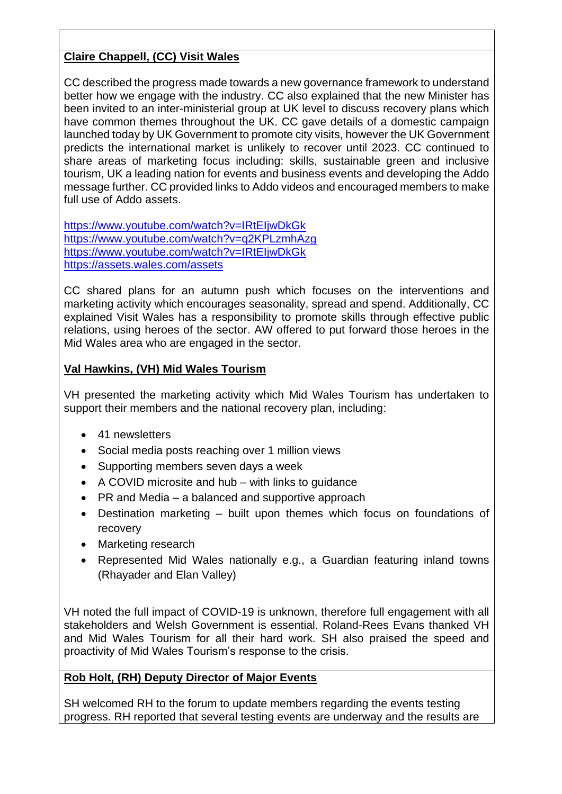## **Claire Chappell, (CC) Visit Wales**

CC described the progress made towards a new governance framework to understand better how we engage with the industry. CC also explained that the new Minister has been invited to an inter-ministerial group at UK level to discuss recovery plans which have common themes throughout the UK. CC gave details of a domestic campaign launched today by UK Government to promote city visits, however the UK Government predicts the international market is unlikely to recover until 2023. CC continued to share areas of marketing focus including: skills, sustainable green and inclusive tourism, UK a leading nation for events and business events and developing the Addo message further. CC provided links to Addo videos and encouraged members to make full use of Addo assets.

<https://www.youtube.com/watch?v=IRtEIjwDkGk> <https://www.youtube.com/watch?v=q2KPLzmhAzg> <https://www.youtube.com/watch?v=IRtEIjwDkGk> <https://assets.wales.com/assets>

CC shared plans for an autumn push which focuses on the interventions and marketing activity which encourages seasonality, spread and spend. Additionally, CC explained Visit Wales has a responsibility to promote skills through effective public relations, using heroes of the sector. AW offered to put forward those heroes in the Mid Wales area who are engaged in the sector.

#### **Val Hawkins, (VH) Mid Wales Tourism**

VH presented the marketing activity which Mid Wales Tourism has undertaken to support their members and the national recovery plan, including:

- 41 newsletters
- Social media posts reaching over 1 million views
- Supporting members seven days a week
- A COVID microsite and hub with links to guidance
- PR and Media a balanced and supportive approach
- Destination marketing built upon themes which focus on foundations of recovery
- Marketing research
- Represented Mid Wales nationally e.g., a Guardian featuring inland towns (Rhayader and Elan Valley)

VH noted the full impact of COVID-19 is unknown, therefore full engagement with all stakeholders and Welsh Government is essential. Roland-Rees Evans thanked VH and Mid Wales Tourism for all their hard work. SH also praised the speed and proactivity of Mid Wales Tourism's response to the crisis.

## **Rob Holt, (RH) Deputy Director of Major Events**

SH welcomed RH to the forum to update members regarding the events testing progress. RH reported that several testing events are underway and the results are